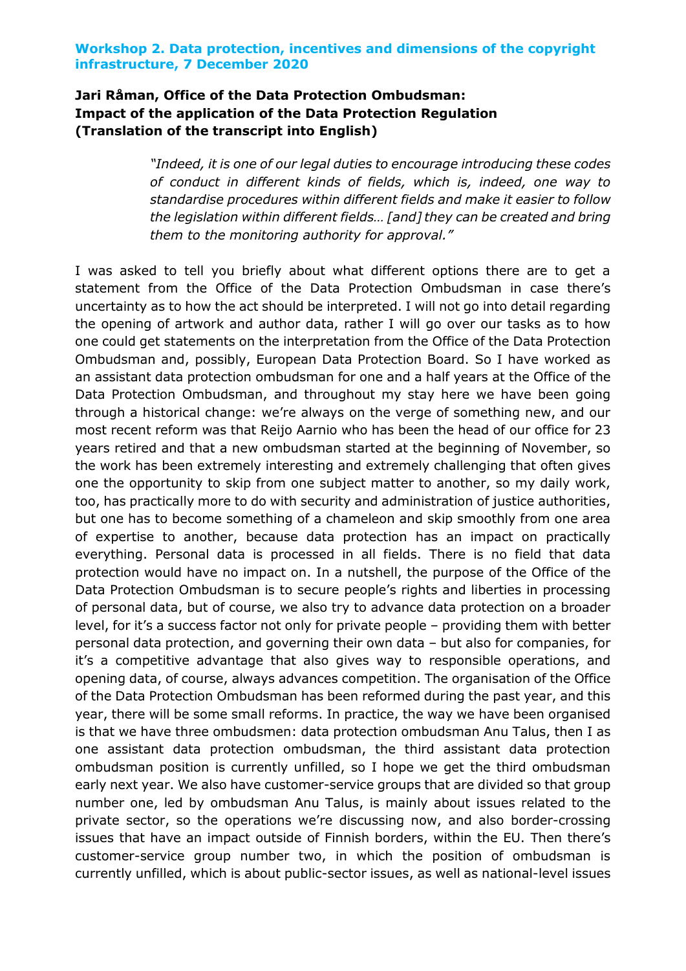# **Jari Råman, Office of the Data Protection Ombudsman: Impact of the application of the Data Protection Regulation (Translation of the transcript into English)**

*"Indeed, it is one of our legal duties to encourage introducing these codes of conduct in different kinds of fields, which is, indeed, one way to standardise procedures within different fields and make it easier to follow the legislation within different fields… [and] they can be created and bring them to the monitoring authority for approval."*

I was asked to tell you briefly about what different options there are to get a statement from the Office of the Data Protection Ombudsman in case there's uncertainty as to how the act should be interpreted. I will not go into detail regarding the opening of artwork and author data, rather I will go over our tasks as to how one could get statements on the interpretation from the Office of the Data Protection Ombudsman and, possibly, European Data Protection Board. So I have worked as an assistant data protection ombudsman for one and a half years at the Office of the Data Protection Ombudsman, and throughout my stay here we have been going through a historical change: we're always on the verge of something new, and our most recent reform was that Reijo Aarnio who has been the head of our office for 23 years retired and that a new ombudsman started at the beginning of November, so the work has been extremely interesting and extremely challenging that often gives one the opportunity to skip from one subject matter to another, so my daily work, too, has practically more to do with security and administration of justice authorities, but one has to become something of a chameleon and skip smoothly from one area of expertise to another, because data protection has an impact on practically everything. Personal data is processed in all fields. There is no field that data protection would have no impact on. In a nutshell, the purpose of the Office of the Data Protection Ombudsman is to secure people's rights and liberties in processing of personal data, but of course, we also try to advance data protection on a broader level, for it's a success factor not only for private people – providing them with better personal data protection, and governing their own data – but also for companies, for it's a competitive advantage that also gives way to responsible operations, and opening data, of course, always advances competition. The organisation of the Office of the Data Protection Ombudsman has been reformed during the past year, and this year, there will be some small reforms. In practice, the way we have been organised is that we have three ombudsmen: data protection ombudsman Anu Talus, then I as one assistant data protection ombudsman, the third assistant data protection ombudsman position is currently unfilled, so I hope we get the third ombudsman early next year. We also have customer-service groups that are divided so that group number one, led by ombudsman Anu Talus, is mainly about issues related to the private sector, so the operations we're discussing now, and also border-crossing issues that have an impact outside of Finnish borders, within the EU. Then there's customer-service group number two, in which the position of ombudsman is currently unfilled, which is about public-sector issues, as well as national-level issues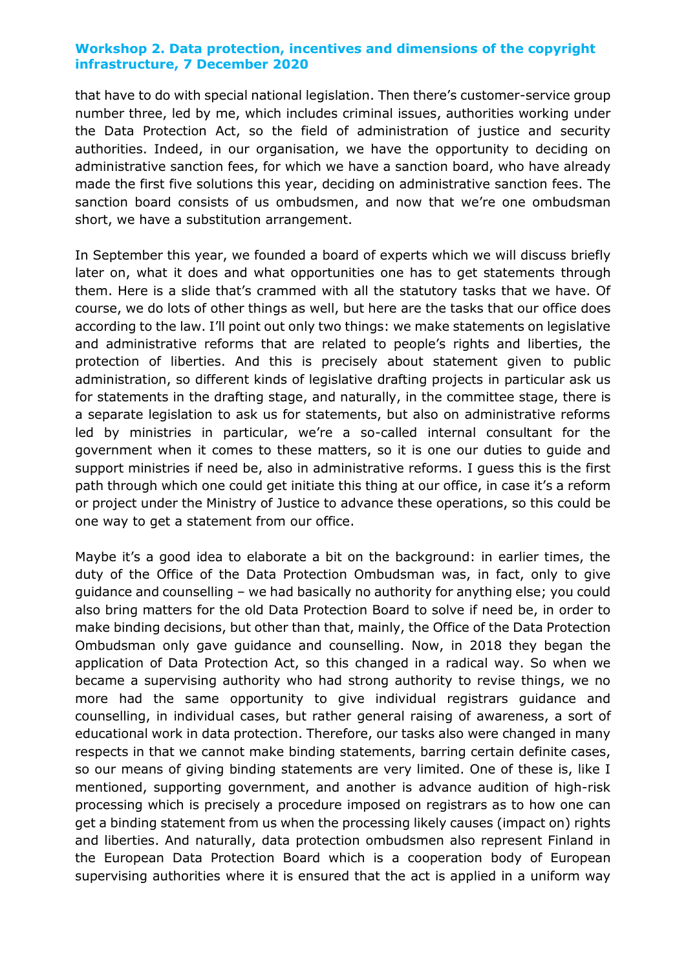that have to do with special national legislation. Then there's customer-service group number three, led by me, which includes criminal issues, authorities working under the Data Protection Act, so the field of administration of justice and security authorities. Indeed, in our organisation, we have the opportunity to deciding on administrative sanction fees, for which we have a sanction board, who have already made the first five solutions this year, deciding on administrative sanction fees. The sanction board consists of us ombudsmen, and now that we're one ombudsman short, we have a substitution arrangement.

In September this year, we founded a board of experts which we will discuss briefly later on, what it does and what opportunities one has to get statements through them. Here is a slide that's crammed with all the statutory tasks that we have. Of course, we do lots of other things as well, but here are the tasks that our office does according to the law. I'll point out only two things: we make statements on legislative and administrative reforms that are related to people's rights and liberties, the protection of liberties. And this is precisely about statement given to public administration, so different kinds of legislative drafting projects in particular ask us for statements in the drafting stage, and naturally, in the committee stage, there is a separate legislation to ask us for statements, but also on administrative reforms led by ministries in particular, we're a so-called internal consultant for the government when it comes to these matters, so it is one our duties to guide and support ministries if need be, also in administrative reforms. I guess this is the first path through which one could get initiate this thing at our office, in case it's a reform or project under the Ministry of Justice to advance these operations, so this could be one way to get a statement from our office.

Maybe it's a good idea to elaborate a bit on the background: in earlier times, the duty of the Office of the Data Protection Ombudsman was, in fact, only to give guidance and counselling – we had basically no authority for anything else; you could also bring matters for the old Data Protection Board to solve if need be, in order to make binding decisions, but other than that, mainly, the Office of the Data Protection Ombudsman only gave guidance and counselling. Now, in 2018 they began the application of Data Protection Act, so this changed in a radical way. So when we became a supervising authority who had strong authority to revise things, we no more had the same opportunity to give individual registrars guidance and counselling, in individual cases, but rather general raising of awareness, a sort of educational work in data protection. Therefore, our tasks also were changed in many respects in that we cannot make binding statements, barring certain definite cases, so our means of giving binding statements are very limited. One of these is, like I mentioned, supporting government, and another is advance audition of high-risk processing which is precisely a procedure imposed on registrars as to how one can get a binding statement from us when the processing likely causes (impact on) rights and liberties. And naturally, data protection ombudsmen also represent Finland in the European Data Protection Board which is a cooperation body of European supervising authorities where it is ensured that the act is applied in a uniform way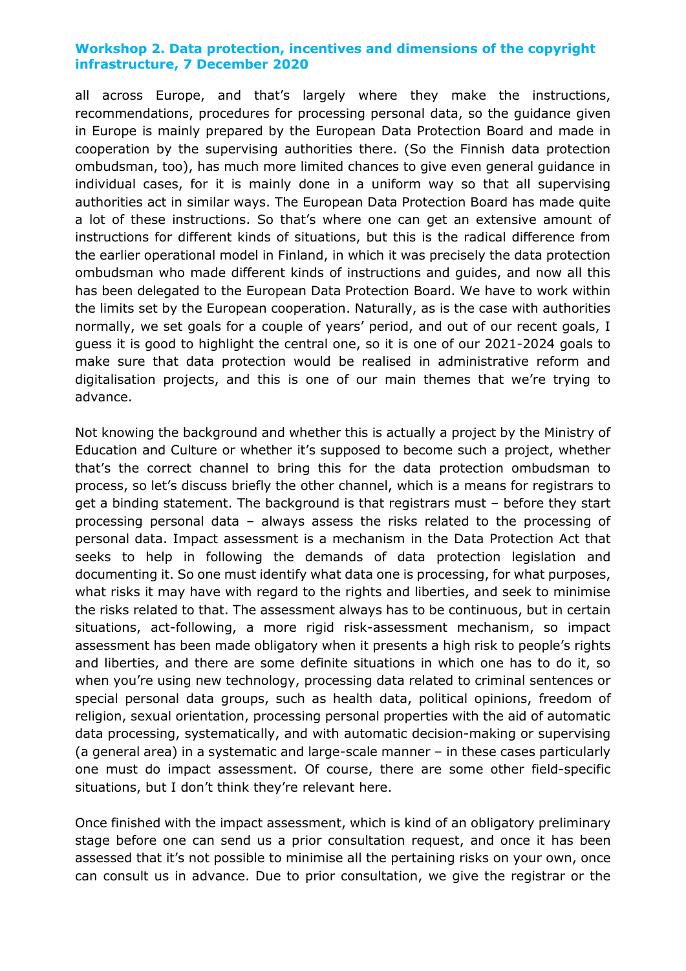all across Europe, and that's largely where they make the instructions, recommendations, procedures for processing personal data, so the guidance given in Europe is mainly prepared by the European Data Protection Board and made in cooperation by the supervising authorities there. (So the Finnish data protection ombudsman, too), has much more limited chances to give even general guidance in individual cases, for it is mainly done in a uniform way so that all supervising authorities act in similar ways. The European Data Protection Board has made quite a lot of these instructions. So that's where one can get an extensive amount of instructions for different kinds of situations, but this is the radical difference from the earlier operational model in Finland, in which it was precisely the data protection ombudsman who made different kinds of instructions and guides, and now all this has been delegated to the European Data Protection Board. We have to work within the limits set by the European cooperation. Naturally, as is the case with authorities normally, we set goals for a couple of years' period, and out of our recent goals, I guess it is good to highlight the central one, so it is one of our 2021-2024 goals to make sure that data protection would be realised in administrative reform and digitalisation projects, and this is one of our main themes that we're trying to advance.

Not knowing the background and whether this is actually a project by the Ministry of Education and Culture or whether it's supposed to become such a project, whether that's the correct channel to bring this for the data protection ombudsman to process, so let's discuss briefly the other channel, which is a means for registrars to get a binding statement. The background is that registrars must – before they start processing personal data – always assess the risks related to the processing of personal data. Impact assessment is a mechanism in the Data Protection Act that seeks to help in following the demands of data protection legislation and documenting it. So one must identify what data one is processing, for what purposes, what risks it may have with regard to the rights and liberties, and seek to minimise the risks related to that. The assessment always has to be continuous, but in certain situations, act-following, a more rigid risk-assessment mechanism, so impact assessment has been made obligatory when it presents a high risk to people's rights and liberties, and there are some definite situations in which one has to do it, so when you're using new technology, processing data related to criminal sentences or special personal data groups, such as health data, political opinions, freedom of religion, sexual orientation, processing personal properties with the aid of automatic data processing, systematically, and with automatic decision-making or supervising (a general area) in a systematic and large-scale manner – in these cases particularly one must do impact assessment. Of course, there are some other field-specific situations, but I don't think they're relevant here.

Once finished with the impact assessment, which is kind of an obligatory preliminary stage before one can send us a prior consultation request, and once it has been assessed that it's not possible to minimise all the pertaining risks on your own, once can consult us in advance. Due to prior consultation, we give the registrar or the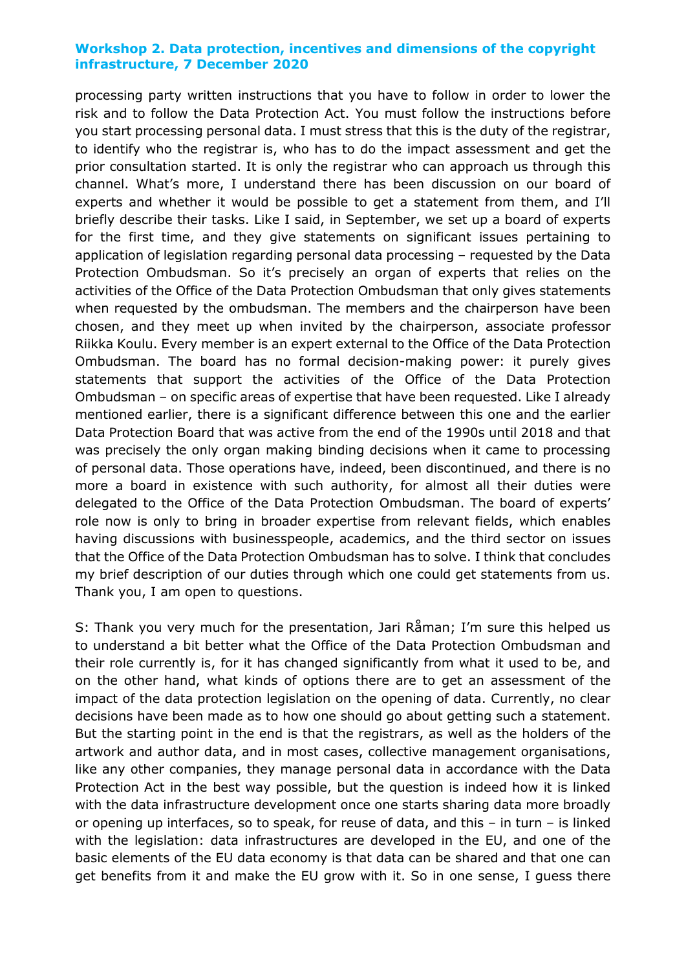processing party written instructions that you have to follow in order to lower the risk and to follow the Data Protection Act. You must follow the instructions before you start processing personal data. I must stress that this is the duty of the registrar, to identify who the registrar is, who has to do the impact assessment and get the prior consultation started. It is only the registrar who can approach us through this channel. What's more, I understand there has been discussion on our board of experts and whether it would be possible to get a statement from them, and I'll briefly describe their tasks. Like I said, in September, we set up a board of experts for the first time, and they give statements on significant issues pertaining to application of legislation regarding personal data processing – requested by the Data Protection Ombudsman. So it's precisely an organ of experts that relies on the activities of the Office of the Data Protection Ombudsman that only gives statements when requested by the ombudsman. The members and the chairperson have been chosen, and they meet up when invited by the chairperson, associate professor Riikka Koulu. Every member is an expert external to the Office of the Data Protection Ombudsman. The board has no formal decision-making power: it purely gives statements that support the activities of the Office of the Data Protection Ombudsman – on specific areas of expertise that have been requested. Like I already mentioned earlier, there is a significant difference between this one and the earlier Data Protection Board that was active from the end of the 1990s until 2018 and that was precisely the only organ making binding decisions when it came to processing of personal data. Those operations have, indeed, been discontinued, and there is no more a board in existence with such authority, for almost all their duties were delegated to the Office of the Data Protection Ombudsman. The board of experts' role now is only to bring in broader expertise from relevant fields, which enables having discussions with businesspeople, academics, and the third sector on issues that the Office of the Data Protection Ombudsman has to solve. I think that concludes my brief description of our duties through which one could get statements from us. Thank you, I am open to questions.

S: Thank you very much for the presentation, Jari Råman; I'm sure this helped us to understand a bit better what the Office of the Data Protection Ombudsman and their role currently is, for it has changed significantly from what it used to be, and on the other hand, what kinds of options there are to get an assessment of the impact of the data protection legislation on the opening of data. Currently, no clear decisions have been made as to how one should go about getting such a statement. But the starting point in the end is that the registrars, as well as the holders of the artwork and author data, and in most cases, collective management organisations, like any other companies, they manage personal data in accordance with the Data Protection Act in the best way possible, but the question is indeed how it is linked with the data infrastructure development once one starts sharing data more broadly or opening up interfaces, so to speak, for reuse of data, and this – in turn – is linked with the legislation: data infrastructures are developed in the EU, and one of the basic elements of the EU data economy is that data can be shared and that one can get benefits from it and make the EU grow with it. So in one sense, I guess there